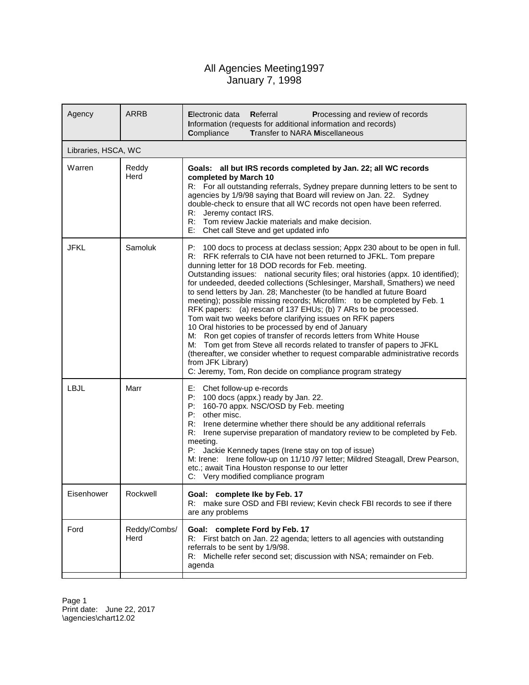## All Agencies Meeting1997 January 7, 1998

| Agency              | <b>ARRB</b>          | Electronic data<br>Referral<br>Processing and review of records<br>Information (requests for additional information and records)<br><b>Transfer to NARA Miscellaneous</b><br>Compliance                                                                                                                                                                                                                                                                                                                                                                                                                                                                                                                                                                                                                                                                                                                                                                                                                                                          |
|---------------------|----------------------|--------------------------------------------------------------------------------------------------------------------------------------------------------------------------------------------------------------------------------------------------------------------------------------------------------------------------------------------------------------------------------------------------------------------------------------------------------------------------------------------------------------------------------------------------------------------------------------------------------------------------------------------------------------------------------------------------------------------------------------------------------------------------------------------------------------------------------------------------------------------------------------------------------------------------------------------------------------------------------------------------------------------------------------------------|
| Libraries, HSCA, WC |                      |                                                                                                                                                                                                                                                                                                                                                                                                                                                                                                                                                                                                                                                                                                                                                                                                                                                                                                                                                                                                                                                  |
| Warren              | Reddy<br>Herd        | Goals: all but IRS records completed by Jan. 22; all WC records<br>completed by March 10<br>R: For all outstanding referrals, Sydney prepare dunning letters to be sent to<br>agencies by 1/9/98 saying that Board will review on Jan. 22. Sydney<br>double-check to ensure that all WC records not open have been referred.<br>Jeremy contact IRS.<br>R:<br>R:<br>Tom review Jackie materials and make decision.<br>E: Chet call Steve and get updated info                                                                                                                                                                                                                                                                                                                                                                                                                                                                                                                                                                                     |
| <b>JFKL</b>         | Samoluk              | P:<br>100 docs to process at declass session; Appx 230 about to be open in full.<br>R: RFK referrals to CIA have not been returned to JFKL. Tom prepare<br>dunning letter for 18 DOD records for Feb. meeting.<br>Outstanding issues: national security files; oral histories (appx. 10 identified);<br>for undeeded, deeded collections (Schlesinger, Marshall, Smathers) we need<br>to send letters by Jan. 28; Manchester (to be handled at future Board<br>meeting); possible missing records; Microfilm: to be completed by Feb. 1<br>RFK papers: (a) rescan of 137 EHUs; (b) 7 ARs to be processed.<br>Tom wait two weeks before clarifying issues on RFK papers<br>10 Oral histories to be processed by end of January<br>M: Ron get copies of transfer of records letters from White House<br>M: Tom get from Steve all records related to transfer of papers to JFKL<br>(thereafter, we consider whether to request comparable administrative records<br>from JFK Library)<br>C: Jeremy, Tom, Ron decide on compliance program strategy |
| LBJL                | Marr                 | Е:<br>Chet follow-up e-records<br>P:<br>100 docs (appx.) ready by Jan. 22.<br>160-70 appx. NSC/OSD by Feb. meeting<br>P:<br>P:<br>other misc.<br>R:<br>Irene determine whether there should be any additional referrals<br>Irene supervise preparation of mandatory review to be completed by Feb.<br>R:<br>meeting.<br>P: Jackie Kennedy tapes (Irene stay on top of issue)<br>M: Irene: Irene follow-up on 11/10 /97 letter; Mildred Steagall, Drew Pearson,<br>etc.; await Tina Houston response to our letter<br>C: Very modified compliance program                                                                                                                                                                                                                                                                                                                                                                                                                                                                                         |
| Eisenhower          | Rockwell             | Goal: complete Ike by Feb. 17<br>make sure OSD and FBI review; Kevin check FBI records to see if there<br>R.<br>are any problems                                                                                                                                                                                                                                                                                                                                                                                                                                                                                                                                                                                                                                                                                                                                                                                                                                                                                                                 |
| Ford                | Reddy/Combs/<br>Herd | Goal: complete Ford by Feb. 17<br>First batch on Jan. 22 agenda; letters to all agencies with outstanding<br>R:<br>referrals to be sent by 1/9/98.<br>Michelle refer second set; discussion with NSA; remainder on Feb.<br>R:<br>agenda                                                                                                                                                                                                                                                                                                                                                                                                                                                                                                                                                                                                                                                                                                                                                                                                          |

Page 1 Print date: June 22, 2017 \agencies\chart12.02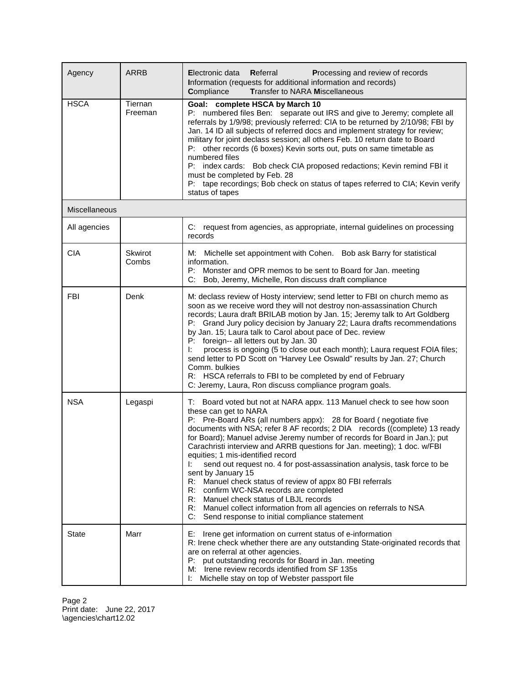| Agency        | <b>ARRB</b>        | Electronic data<br>Referral<br>Processing and review of records<br>Information (requests for additional information and records)<br><b>Transfer to NARA Miscellaneous</b><br>Compliance                                                                                                                                                                                                                                                                                                                                                                                                                                                                                                                                                                                                                                                        |
|---------------|--------------------|------------------------------------------------------------------------------------------------------------------------------------------------------------------------------------------------------------------------------------------------------------------------------------------------------------------------------------------------------------------------------------------------------------------------------------------------------------------------------------------------------------------------------------------------------------------------------------------------------------------------------------------------------------------------------------------------------------------------------------------------------------------------------------------------------------------------------------------------|
| <b>HSCA</b>   | Tiernan<br>Freeman | Goal: complete HSCA by March 10<br>P: numbered files Ben: separate out IRS and give to Jeremy; complete all<br>referrals by 1/9/98; previously referred: CIA to be returned by 2/10/98; FBI by<br>Jan. 14 ID all subjects of referred docs and implement strategy for review;<br>military for joint declass session; all others Feb. 10 return date to Board<br>P: other records (6 boxes) Kevin sorts out, puts on same timetable as<br>numbered files<br>P: index cards: Bob check CIA proposed redactions; Kevin remind FBI it<br>must be completed by Feb. 28<br>P: tape recordings; Bob check on status of tapes referred to CIA; Kevin verify<br>status of tapes                                                                                                                                                                         |
| Miscellaneous |                    |                                                                                                                                                                                                                                                                                                                                                                                                                                                                                                                                                                                                                                                                                                                                                                                                                                                |
| All agencies  |                    | C: request from agencies, as appropriate, internal guidelines on processing<br>records                                                                                                                                                                                                                                                                                                                                                                                                                                                                                                                                                                                                                                                                                                                                                         |
| <b>CIA</b>    | Skwirot<br>Combs   | Michelle set appointment with Cohen. Bob ask Barry for statistical<br>M:<br>information.<br>P:<br>Monster and OPR memos to be sent to Board for Jan. meeting<br>Bob, Jeremy, Michelle, Ron discuss draft compliance<br>C:                                                                                                                                                                                                                                                                                                                                                                                                                                                                                                                                                                                                                      |
| <b>FBI</b>    | Denk               | M: declass review of Hosty interview; send letter to FBI on church memo as<br>soon as we receive word they will not destroy non-assassination Church<br>records; Laura draft BRILAB motion by Jan. 15; Jeremy talk to Art Goldberg<br>P: Grand Jury policy decision by January 22; Laura drafts recommendations<br>by Jan. 15; Laura talk to Carol about pace of Dec. review<br>P: foreign-- all letters out by Jan. 30<br>process is ongoing (5 to close out each month); Laura request FOIA files;<br>Ŀ.<br>send letter to PD Scott on "Harvey Lee Oswald" results by Jan. 27; Church<br>Comm. bulkies<br>R: HSCA referrals to FBI to be completed by end of February<br>C: Jeremy, Laura, Ron discuss compliance program goals.                                                                                                             |
| <b>NSA</b>    | Legaspi            | T: Board voted but not at NARA appx. 113 Manuel check to see how soon<br>these can get to NARA<br>P: Pre-Board ARs (all numbers appx): 28 for Board (negotiate five<br>documents with NSA; refer 8 AF records; 2 DIA records ((complete) 13 ready<br>for Board); Manuel advise Jeremy number of records for Board in Jan.); put<br>Carachristi interview and ARRB questions for Jan. meeting); 1 doc. w/FBI<br>equities; 1 mis-identified record<br>send out request no. 4 for post-assassination analysis, task force to be<br>Ŀ.<br>sent by January 15<br>R:<br>Manuel check status of review of appx 80 FBI referrals<br>R: confirm WC-NSA records are completed<br>R:<br>Manuel check status of LBJL records<br>R: Manuel collect information from all agencies on referrals to NSA<br>C:<br>Send response to initial compliance statement |
| State         | Marr               | E: Irene get information on current status of e-information<br>R: Irene check whether there are any outstanding State-originated records that<br>are on referral at other agencies.<br>P: put outstanding records for Board in Jan. meeting<br>M: Irene review records identified from SF 135s<br>I: Michelle stay on top of Webster passport file                                                                                                                                                                                                                                                                                                                                                                                                                                                                                             |

Page 2 Print date: June 22, 2017 \agencies\chart12.02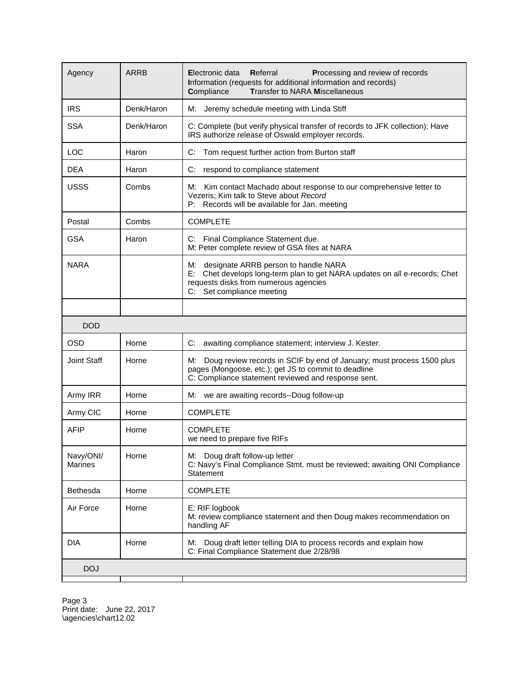| Agency               | <b>ARRB</b> | Electronic data<br>Referral<br>Processing and review of records<br>Information (requests for additional information and records)<br><b>Transfer to NARA Miscellaneous</b><br>Compliance              |
|----------------------|-------------|------------------------------------------------------------------------------------------------------------------------------------------------------------------------------------------------------|
| <b>IRS</b>           | Denk/Haron  | Jeremy schedule meeting with Linda Stiff<br>М:                                                                                                                                                       |
| <b>SSA</b>           | Denk/Haron  | C: Complete (but verify physical transfer of records to JFK collection); Have<br>IRS authorize release of Oswald employer records.                                                                   |
| <b>LOC</b>           | Haron       | C:<br>Tom request further action from Burton staff                                                                                                                                                   |
| <b>DEA</b>           | Haron       | C:<br>respond to compliance statement                                                                                                                                                                |
| <b>USSS</b>          | Combs       | Kim contact Machado about response to our comprehensive letter to<br>M:<br>Vezeris; Kim talk to Steve about Record<br>Records will be available for Jan. meeting<br>P:                               |
| Postal               | Combs       | <b>COMPLETE</b>                                                                                                                                                                                      |
| <b>GSA</b>           | Haron       | Final Compliance Statement due.<br>C:<br>M: Peter complete review of GSA files at NARA                                                                                                               |
| <b>NARA</b>          |             | М:<br>designate ARRB person to handle NARA<br>E:<br>Chet develops long-term plan to get NARA updates on all e-records; Chet<br>requests disks from numerous agencies<br>Set compliance meeting<br>C: |
|                      |             |                                                                                                                                                                                                      |
| <b>DOD</b>           |             |                                                                                                                                                                                                      |
| <b>OSD</b>           | Horne       | C:<br>awaiting compliance statement; interview J. Kester.                                                                                                                                            |
| Joint Staff          | Horne       | M:<br>Doug review records in SCIF by end of January; must process 1500 plus<br>pages (Mongoose, etc.); get JS to commit to deadline<br>C: Compliance statement reviewed and response sent.           |
| Army IRR             | Horne       | M: we are awaiting records--Doug follow-up                                                                                                                                                           |
| Army CIC             | Horne       | <b>COMPLETE</b>                                                                                                                                                                                      |
| <b>AFIP</b>          | Horne       | <b>COMPLETE</b><br>we need to prepare five RIFs                                                                                                                                                      |
| Navy/ONI/<br>Marines | Horne       | M: Doug draft follow-up letter<br>C: Navy's Final Compliance Stmt. must be reviewed; awaiting ONI Compliance<br>Statement                                                                            |
| Bethesda             | Horne       | <b>COMPLETE</b>                                                                                                                                                                                      |
| Air Force            | Horne       | E: RIF logbook<br>M: review compliance statement and then Doug makes recommendation on<br>handling AF                                                                                                |
| <b>DIA</b>           | Horne       | Doug draft letter telling DIA to process records and explain how<br>М:<br>C: Final Compliance Statement due 2/28/98                                                                                  |
| <b>DOJ</b>           |             |                                                                                                                                                                                                      |

Page 3 Print date: June 22, 2017 \agencies\chart12.02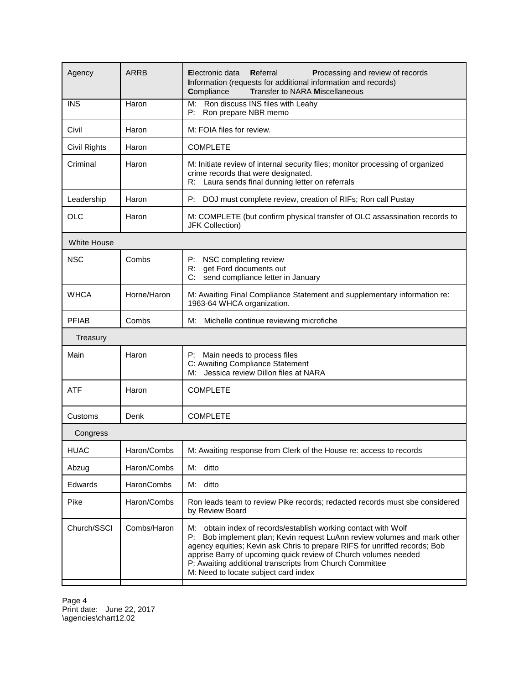| Agency             | <b>ARRB</b> | Electronic data<br>Referral<br>Processing and review of records<br>Information (requests for additional information and records)<br><b>Transfer to NARA Miscellaneous</b><br>Compliance                                                                                                                                                                                                               |
|--------------------|-------------|-------------------------------------------------------------------------------------------------------------------------------------------------------------------------------------------------------------------------------------------------------------------------------------------------------------------------------------------------------------------------------------------------------|
| <b>INS</b>         | Haron       | Ron discuss INS files with Leahy<br>M:<br>P:<br>Ron prepare NBR memo                                                                                                                                                                                                                                                                                                                                  |
| Civil              | Haron       | M: FOIA files for review.                                                                                                                                                                                                                                                                                                                                                                             |
| Civil Rights       | Haron       | <b>COMPLETE</b>                                                                                                                                                                                                                                                                                                                                                                                       |
| Criminal           | Haron       | M: Initiate review of internal security files; monitor processing of organized<br>crime records that were designated.<br>R: Laura sends final dunning letter on referrals                                                                                                                                                                                                                             |
| Leadership         | Haron       | P:<br>DOJ must complete review, creation of RIFs; Ron call Pustay                                                                                                                                                                                                                                                                                                                                     |
| <b>OLC</b>         | Haron       | M: COMPLETE (but confirm physical transfer of OLC assassination records to<br><b>JFK Collection)</b>                                                                                                                                                                                                                                                                                                  |
| <b>White House</b> |             |                                                                                                                                                                                                                                                                                                                                                                                                       |
| <b>NSC</b>         | Combs       | P: NSC completing review<br>get Ford documents out<br>R:<br>send compliance letter in January<br>C:                                                                                                                                                                                                                                                                                                   |
| <b>WHCA</b>        | Horne/Haron | M: Awaiting Final Compliance Statement and supplementary information re:<br>1963-64 WHCA organization.                                                                                                                                                                                                                                                                                                |
| <b>PFIAB</b>       | Combs       | M: Michelle continue reviewing microfiche                                                                                                                                                                                                                                                                                                                                                             |
| Treasury           |             |                                                                                                                                                                                                                                                                                                                                                                                                       |
| Main               | Haron       | P: Main needs to process files<br>C: Awaiting Compliance Statement<br>Jessica review Dillon files at NARA<br>M:                                                                                                                                                                                                                                                                                       |
| <b>ATF</b>         | Haron       | <b>COMPLETE</b>                                                                                                                                                                                                                                                                                                                                                                                       |
| Customs            | Denk        | <b>COMPLETE</b>                                                                                                                                                                                                                                                                                                                                                                                       |
| Congress           |             |                                                                                                                                                                                                                                                                                                                                                                                                       |
| <b>HUAC</b>        | Haron/Combs | M: Awaiting response from Clerk of the House re: access to records                                                                                                                                                                                                                                                                                                                                    |
| Abzug              | Haron/Combs | ditto<br>М:                                                                                                                                                                                                                                                                                                                                                                                           |
| Edwards            | HaronCombs  | М:<br>ditto                                                                                                                                                                                                                                                                                                                                                                                           |
| Pike               | Haron/Combs | Ron leads team to review Pike records; redacted records must sbe considered<br>by Review Board                                                                                                                                                                                                                                                                                                        |
| Church/SSCI        | Combs/Haron | M:<br>obtain index of records/establish working contact with Wolf<br>Bob implement plan; Kevin request LuAnn review volumes and mark other<br>P:<br>agency equities; Kevin ask Chris to prepare RIFS for unriffed records; Bob<br>apprise Barry of upcoming quick review of Church volumes needed<br>P: Awaiting additional transcripts from Church Committee<br>M: Need to locate subject card index |

Page 4 Print date: June 22, 2017 \agencies\chart12.02